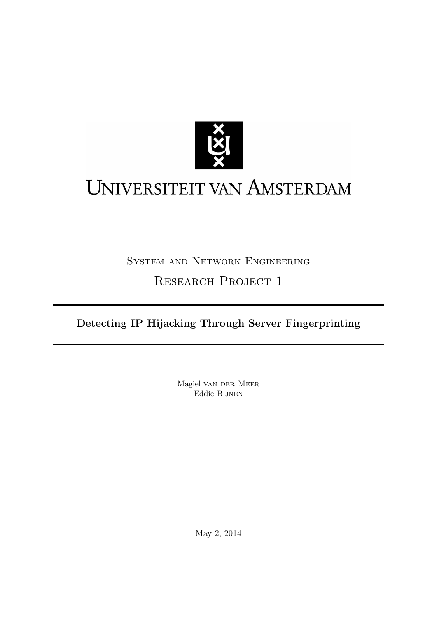

# UNIVERSITEIT VAN AMSTERDAM

## System and Network Engineering RESEARCH PROJECT 1

Detecting IP Hijacking Through Server Fingerprinting

Magiel van der Meer Eddie Bijnen

May 2, 2014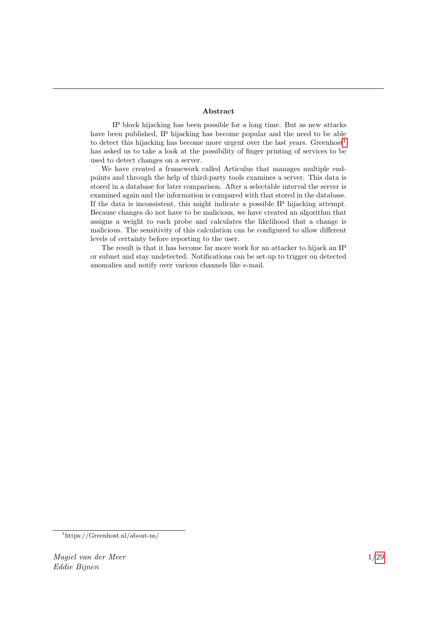#### Abstract

IP block hijacking has been possible for a long time. But as new attacks have been published, IP hijacking has become popular and the need to be able to detect this hijacking has become more urgent over the last years. Greenhost<sup>[1](#page-1-0)</sup> has asked us to take a look at the possibility of finger printing of services to be used to detect changes on a server.

We have created a framework called Articulus that manages multiple endpoints and through the help of third-party tools examines a server. This data is stored in a database for later comparison. After a selectable interval the server is examined again and the information is compared with that stored in the database. If the data is inconsistent, this might indicate a possible IP hijacking attempt. Because changes do not have to be malicious, we have created an algorithm that assigns a weight to each probe and calculates the likelihood that a change is malicious. The sensitivity of this calculation can be configured to allow different levels of certainty before reporting to the user.

The result is that it has become far more work for an attacker to hijack an IP or subnet and stay undetected. Notifications can be set-up to trigger on detected anomalies and notify over various channels like e-mail.

<span id="page-1-0"></span><sup>1</sup>https://Greenhost.nl/about-us/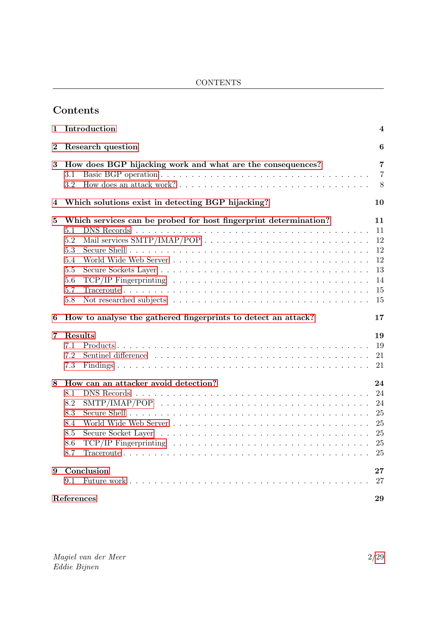CONTENTS

## Contents

| 1                | Introduction<br>4                                                                                                                                                                                                                       |                                                    |  |  |  |  |
|------------------|-----------------------------------------------------------------------------------------------------------------------------------------------------------------------------------------------------------------------------------------|----------------------------------------------------|--|--|--|--|
| $\boldsymbol{2}$ | Research question<br>6                                                                                                                                                                                                                  |                                                    |  |  |  |  |
| 3                | How does BGP hijacking work and what are the consequences?<br>3.1<br>$3.2\,$                                                                                                                                                            | 7<br>7<br>8                                        |  |  |  |  |
| 4                | Which solutions exist in detecting BGP hijacking?                                                                                                                                                                                       | 10                                                 |  |  |  |  |
| 5                | Which services can be probed for host fingerprint determination?<br>5.1<br>5.2<br>5.3<br>5.4<br>5.5<br>5.6<br>TCP/IP Fingerprinting $\ldots \ldots \ldots \ldots \ldots \ldots \ldots \ldots \ldots \ldots \ldots \ldots$<br>5.7<br>5.8 | 11<br>11<br>12<br>12<br>12<br>13<br>14<br>15<br>15 |  |  |  |  |
| 6                | How to analyse the gathered fingerprints to detect an attack?                                                                                                                                                                           | 17                                                 |  |  |  |  |
| 7                | Results<br>7.1<br>7.2<br>7.3                                                                                                                                                                                                            | 19<br>19<br>21<br>21                               |  |  |  |  |
| 8                | How can an attacker avoid detection?<br>8.1<br>8.2<br>8.3<br>8.4<br><u>. A series and a series are a series and a series and a series and a series and</u><br>8.5<br>Secure Socket Layer<br>8.6<br>8.7                                  | 24<br>24<br>24<br>25<br>25<br>25<br>25<br>25       |  |  |  |  |
| 9                | Conclusion<br>9.1                                                                                                                                                                                                                       | $\bf{27}$<br>27                                    |  |  |  |  |
|                  | References                                                                                                                                                                                                                              | 29                                                 |  |  |  |  |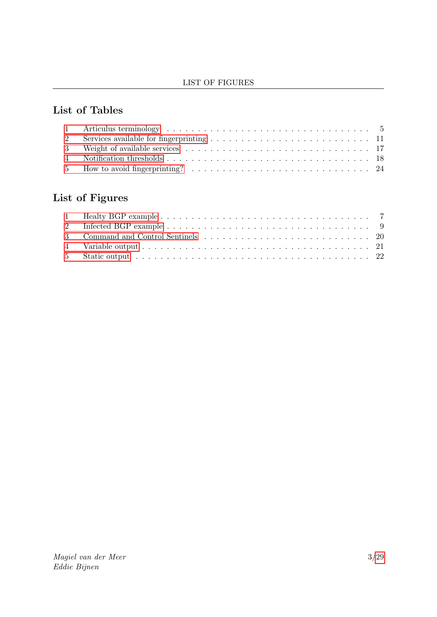#### LIST OF FIGURES

## List of Tables

## List of Figures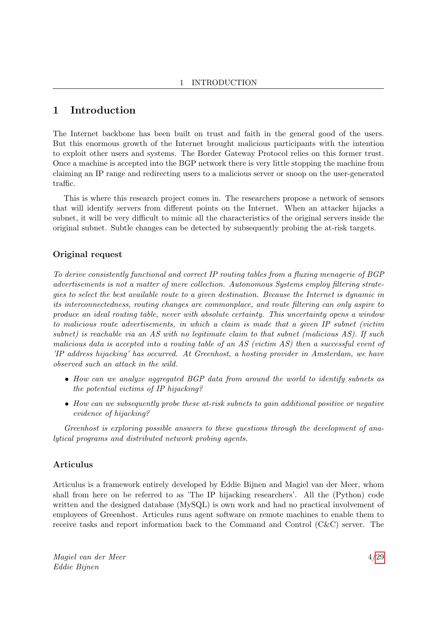## <span id="page-4-0"></span>1 Introduction

The Internet backbone has been built on trust and faith in the general good of the users. But this enormous growth of the Internet brought malicious participants with the intention to exploit other users and systems. The Border Gateway Protocol relies on this former trust. Once a machine is accepted into the BGP network there is very little stopping the machine from claiming an IP range and redirecting users to a malicious server or snoop on the user-generated traffic.

This is where this research project comes in. The researchers propose a network of sensors that will identify servers from different points on the Internet. When an attacker hijacks a subnet, it will be very difficult to mimic all the characteristics of the original servers inside the original subnet. Subtle changes can be detected by subsequently probing the at-risk targets.

#### Original request

To derive consistently functional and correct IP routing tables from a fluxing menagerie of BGP advertisements is not a matter of mere collection. Autonomous Systems employ filtering strategies to select the best available route to a given destination. Because the Internet is dynamic in its interconnectedness, routing changes are commonplace, and route filtering can only aspire to produce an ideal routing table, never with absolute certainty. This uncertainty opens a window to malicious route advertisements, in which a claim is made that a given IP subnet (victim subnet) is reachable via an AS with no legitimate claim to that subnet (malicious AS). If such malicious data is accepted into a routing table of an AS (victim AS) then a successful event of 'IP address hijacking' has occurred. At Greenhost, a hosting provider in Amsterdam, we have observed such an attack in the wild.

- How can we analyze aggregated BGP data from around the world to identify subnets as the potential victims of IP hijacking?
- How can we subsequently probe these at-risk subnets to gain additional positive or negative evidence of hijacking?

Greenhost is exploring possible answers to these questions through the development of analytical programs and distributed network probing agents.

#### <span id="page-4-1"></span>Articulus

Articulus is a framework entirely developed by Eddie Bijnen and Magiel van der Meer, whom shall from here on be referred to as 'The IP hijacking researchers'. All the (Python) code written and the designed database (MySQL) is own work and had no practical involvement of employees of Greenhost. Articules runs agent software on remote machines to enable them to receive tasks and report information back to the Command and Control (C&C) server. The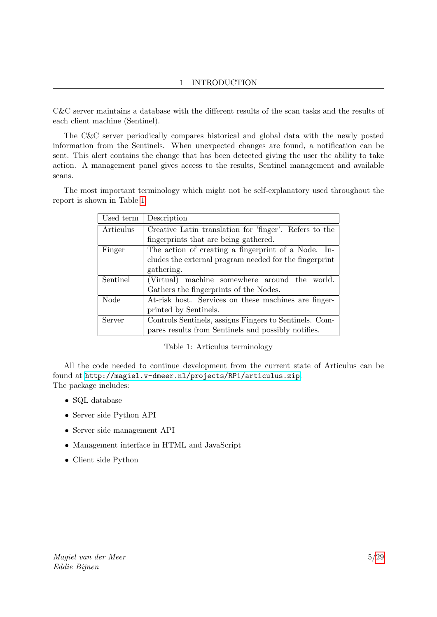C&C server maintains a database with the different results of the scan tasks and the results of each client machine (Sentinel).

The C&C server periodically compares historical and global data with the newly posted information from the Sentinels. When unexpected changes are found, a notification can be sent. This alert contains the change that has been detected giving the user the ability to take action. A management panel gives access to the results, Sentinel management and available scans.

The most important terminology which might not be self-explanatory used throughout the report is shown in Table [1:](#page-5-0)

| Used term | Description                                            |  |  |  |  |  |
|-----------|--------------------------------------------------------|--|--|--|--|--|
| Articulus | Creative Latin translation for 'finger'. Refers to the |  |  |  |  |  |
|           | fingerprints that are being gathered.                  |  |  |  |  |  |
| Finger    | The action of creating a fingerprint of a Node. In-    |  |  |  |  |  |
|           | cludes the external program needed for the fingerprint |  |  |  |  |  |
|           | gathering.                                             |  |  |  |  |  |
| Sentinel  | (Virtual) machine somewhere around the world.          |  |  |  |  |  |
|           | Gathers the fingerprints of the Nodes.                 |  |  |  |  |  |
| Node      | At-risk host. Services on these machines are finger-   |  |  |  |  |  |
|           | printed by Sentinels.                                  |  |  |  |  |  |
| Server    | Controls Sentinels, assigns Fingers to Sentinels. Com- |  |  |  |  |  |
|           | pares results from Sentinels and possibly notifies.    |  |  |  |  |  |

<span id="page-5-0"></span>Table 1: Articulus terminology

All the code needed to continue development from the current state of Articulus can be found at <http://magiel.v-dmeer.nl/projects/RP1/articulus.zip>. The package includes:

- SQL database
- Server side Python API
- Server side management API
- Management interface in HTML and JavaScript
- Client side Python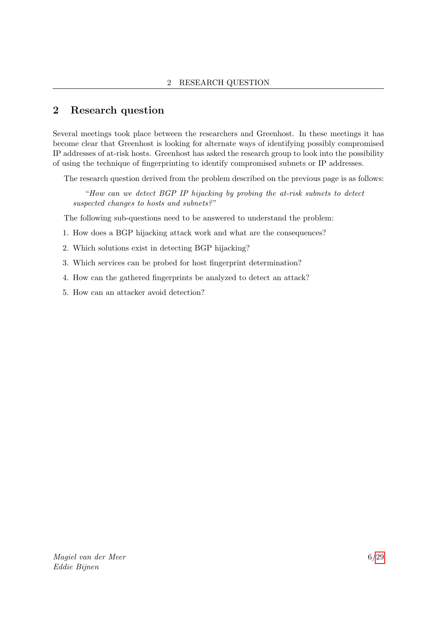## <span id="page-6-0"></span>2 Research question

Several meetings took place between the researchers and Greenhost. In these meetings it has become clear that Greenhost is looking for alternate ways of identifying possibly compromised IP addresses of at-risk hosts. Greenhost has asked the research group to look into the possibility of using the technique of fingerprinting to identify compromised subnets or IP addresses.

The research question derived from the problem described on the previous page is as follows:

"How can we detect BGP IP hijacking by probing the at-risk subnets to detect suspected changes to hosts and subnets?"

The following sub-questions need to be answered to understand the problem:

- 1. How does a BGP hijacking attack work and what are the consequences?
- 2. Which solutions exist in detecting BGP hijacking?
- 3. Which services can be probed for host fingerprint determination?
- 4. How can the gathered fingerprints be analyzed to detect an attack?
- 5. How can an attacker avoid detection?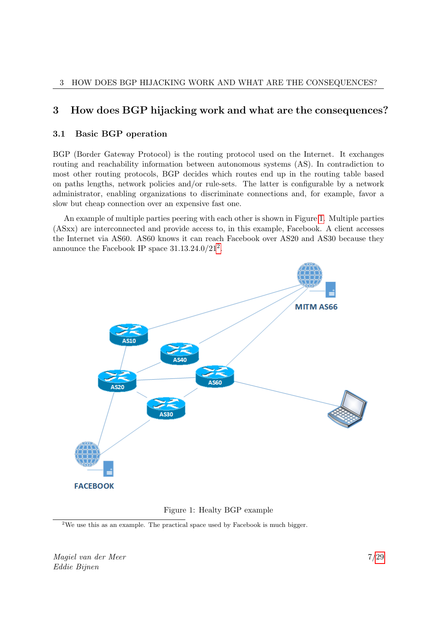## <span id="page-7-0"></span>3 How does BGP hijacking work and what are the consequences?

#### <span id="page-7-1"></span>3.1 Basic BGP operation

BGP (Border Gateway Protocol) is the routing protocol used on the Internet. It exchanges routing and reachability information between autonomous systems (AS). In contradiction to most other routing protocols, BGP decides which routes end up in the routing table based on paths lengths, network policies and/or rule-sets. The latter is configurable by a network administrator, enabling organizations to discriminate connections and, for example, favor a slow but cheap connection over an expensive fast one.

An example of multiple parties peering with each other is shown in Figure [1.](#page-7-2) Multiple parties (ASxx) are interconnected and provide access to, in this example, Facebook. A client accesses the Internet via AS60. AS60 knows it can reach Facebook over AS20 and AS30 because they announce the Facebook IP space  $31.13.24.0/21^2$  $31.13.24.0/21^2$  $31.13.24.0/21^2$ .



<span id="page-7-2"></span>Figure 1: Healty BGP example

<span id="page-7-3"></span><sup>2</sup>We use this as an example. The practical space used by Facebook is much bigger.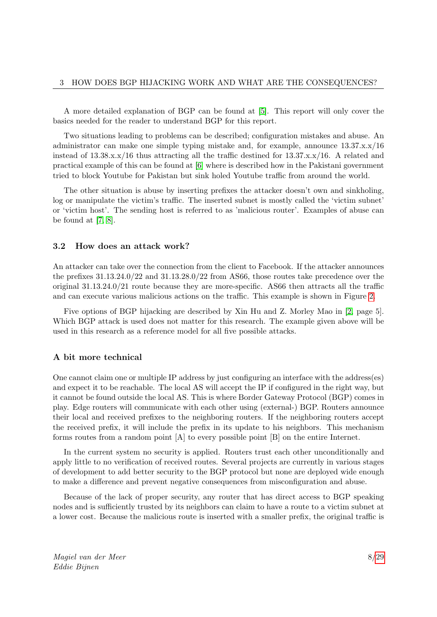A more detailed explanation of BGP can be found at [\[5\]](#page-29-2). This report will only cover the basics needed for the reader to understand BGP for this report.

Two situations leading to problems can be described; configuration mistakes and abuse. An administrator can make one simple typing mistake and, for example, announce  $13.37.x.x/16$ instead of  $13.38.x.x/16$  thus attracting all the traffic destined for  $13.37.x.x/16$ . A related and practical example of this can be found at [\[6\]](#page-29-3) where is described how in the Pakistani government tried to block Youtube for Pakistan but sink holed Youtube traffic from around the world.

The other situation is abuse by inserting prefixes the attacker doesn't own and sinkholing, log or manipulate the victim's traffic. The inserted subnet is mostly called the 'victim subnet' or 'victim host'. The sending host is referred to as 'malicious router'. Examples of abuse can be found at [\[7,](#page-29-4) [8\]](#page-29-5).

#### <span id="page-8-0"></span>3.2 How does an attack work?

An attacker can take over the connection from the client to Facebook. If the attacker announces the prefixes 31.13.24.0/22 and 31.13.28.0/22 from AS66, those routes take precedence over the original 31.13.24.0/21 route because they are more-specific. AS66 then attracts all the traffic and can execute various malicious actions on the traffic. This example is shown in Figure [2.](#page-9-0)

Five options of BGP hijacking are described by Xin Hu and Z. Morley Mao in [\[2,](#page-29-6) page 5]. Which BGP attack is used does not matter for this research. The example given above will be used in this research as a reference model for all five possible attacks.

#### A bit more technical

One cannot claim one or multiple IP address by just configuring an interface with the address(es) and expect it to be reachable. The local AS will accept the IP if configured in the right way, but it cannot be found outside the local AS. This is where Border Gateway Protocol (BGP) comes in play. Edge routers will communicate with each other using (external-) BGP. Routers announce their local and received prefixes to the neighboring routers. If the neighboring routers accept the received prefix, it will include the prefix in its update to his neighbors. This mechanism forms routes from a random point [A] to every possible point [B] on the entire Internet.

In the current system no security is applied. Routers trust each other unconditionally and apply little to no verification of received routes. Several projects are currently in various stages of development to add better security to the BGP protocol but none are deployed wide enough to make a difference and prevent negative consequences from misconfiguration and abuse.

Because of the lack of proper security, any router that has direct access to BGP speaking nodes and is sufficiently trusted by its neighbors can claim to have a route to a victim subnet at a lower cost. Because the malicious route is inserted with a smaller prefix, the original traffic is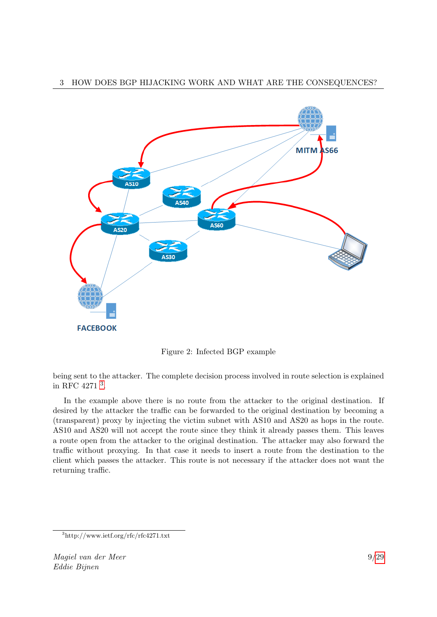#### 3 HOW DOES BGP HIJACKING WORK AND WHAT ARE THE CONSEQUENCES?



<span id="page-9-0"></span>Figure 2: Infected BGP example

being sent to the attacker. The complete decision process involved in route selection is explained in RFC 4271 [3](#page-9-1) .

In the example above there is no route from the attacker to the original destination. If desired by the attacker the traffic can be forwarded to the original destination by becoming a (transparent) proxy by injecting the victim subnet with AS10 and AS20 as hops in the route. AS10 and AS20 will not accept the route since they think it already passes them. This leaves a route open from the attacker to the original destination. The attacker may also forward the traffic without proxying. In that case it needs to insert a route from the destination to the client which passes the attacker. This route is not necessary if the attacker does not want the returning traffic.

<span id="page-9-1"></span><sup>3</sup>http://www.ietf.org/rfc/rfc4271.txt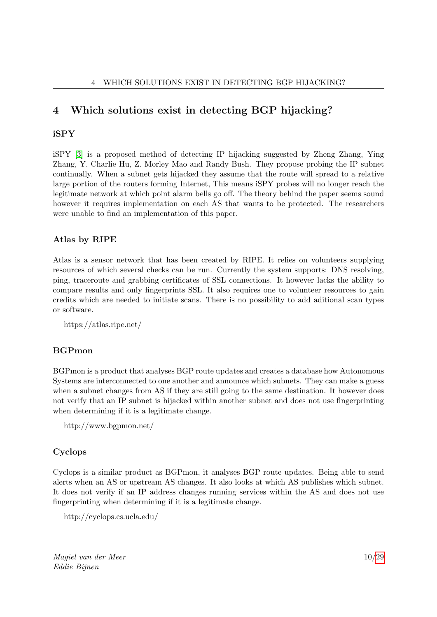## <span id="page-10-0"></span>4 Which solutions exist in detecting BGP hijacking?

#### iSPY

iSPY [\[3\]](#page-29-7) is a proposed method of detecting IP hijacking suggested by Zheng Zhang, Ying Zhang, Y. Charlie Hu, Z. Morley Mao and Randy Bush. They propose probing the IP subnet continually. When a subnet gets hijacked they assume that the route will spread to a relative large portion of the routers forming Internet, This means iSPY probes will no longer reach the legitimate network at which point alarm bells go off. The theory behind the paper seems sound however it requires implementation on each AS that wants to be protected. The researchers were unable to find an implementation of this paper.

#### Atlas by RIPE

Atlas is a sensor network that has been created by RIPE. It relies on volunteers supplying resources of which several checks can be run. Currently the system supports: DNS resolving, ping, traceroute and grabbing certificates of SSL connections. It however lacks the ability to compare results and only fingerprints SSL. It also requires one to volunteer resources to gain credits which are needed to initiate scans. There is no possibility to add aditional scan types or software.

https://atlas.ripe.net/

#### BGPmon

BGPmon is a product that analyses BGP route updates and creates a database how Autonomous Systems are interconnected to one another and announce which subnets. They can make a guess when a subnet changes from AS if they are still going to the same destination. It however does not verify that an IP subnet is hijacked within another subnet and does not use fingerprinting when determining if it is a legitimate change.

```
http://www.bgpmon.net/
```
#### Cyclops

Cyclops is a similar product as BGPmon, it analyses BGP route updates. Being able to send alerts when an AS or upstream AS changes. It also looks at which AS publishes which subnet. It does not verify if an IP address changes running services within the AS and does not use fingerprinting when determining if it is a legitimate change.

```
http://cyclops.cs.ucla.edu/
```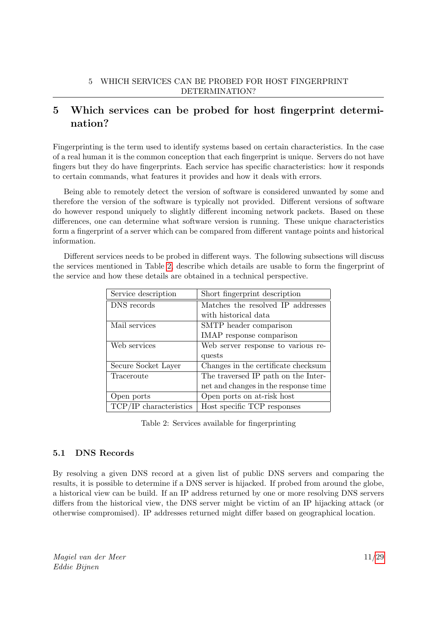## <span id="page-11-0"></span>5 Which services can be probed for host fingerprint determination?

Fingerprinting is the term used to identify systems based on certain characteristics. In the case of a real human it is the common conception that each fingerprint is unique. Servers do not have fingers but they do have fingerprints. Each service has specific characteristics: how it responds to certain commands, what features it provides and how it deals with errors.

Being able to remotely detect the version of software is considered unwanted by some and therefore the version of the software is typically not provided. Different versions of software do however respond uniquely to slightly different incoming network packets. Based on these differences, one can determine what software version is running. These unique characteristics form a fingerprint of a server which can be compared from different vantage points and historical information.

Different services needs to be probed in different ways. The following subsections will discuss the services mentioned in Table [2,](#page-11-2) describe which details are usable to form the fingerprint of the service and how these details are obtained in a technical perspective.

| Service description    | Short fingerprint description        |
|------------------------|--------------------------------------|
| DNS records            | Matches the resolved IP addresses    |
|                        | with historical data                 |
| Mail services          | SMTP header comparison               |
|                        | IMAP response comparison             |
| Web services           | Web server response to various re-   |
|                        | quests                               |
| Secure Socket Layer    | Changes in the certificate checksum  |
| Traceroute             | The traversed IP path on the Inter-  |
|                        | net and changes in the response time |
| Open ports             | Open ports on at-risk host           |
| TCP/IP characteristics | Host specific TCP responses          |

<span id="page-11-2"></span>Table 2: Services available for fingerprinting

#### <span id="page-11-1"></span>5.1 DNS Records

By resolving a given DNS record at a given list of public DNS servers and comparing the results, it is possible to determine if a DNS server is hijacked. If probed from around the globe, a historical view can be build. If an IP address returned by one or more resolving DNS servers differs from the historical view, the DNS server might be victim of an IP hijacking attack (or otherwise compromised). IP addresses returned might differ based on geographical location.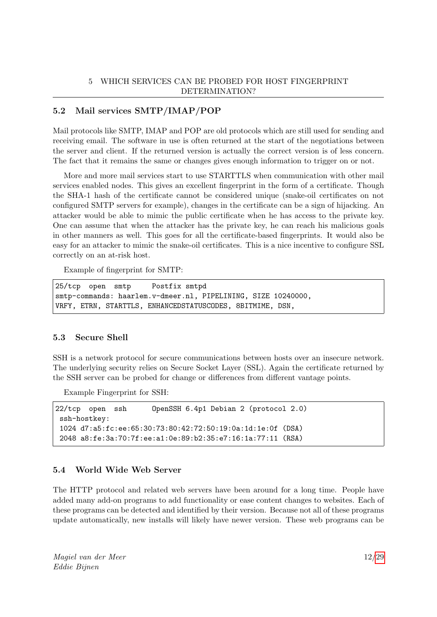#### <span id="page-12-0"></span>5.2 Mail services SMTP/IMAP/POP

Mail protocols like SMTP, IMAP and POP are old protocols which are still used for sending and receiving email. The software in use is often returned at the start of the negotiations between the server and client. If the returned version is actually the correct version is of less concern. The fact that it remains the same or changes gives enough information to trigger on or not.

More and more mail services start to use STARTTLS when communication with other mail services enabled nodes. This gives an excellent fingerprint in the form of a certificate. Though the SHA-1 hash of the certificate cannot be considered unique (snake-oil certificates on not configured SMTP servers for example), changes in the certificate can be a sign of hijacking. An attacker would be able to mimic the public certificate when he has access to the private key. One can assume that when the attacker has the private key, he can reach his malicious goals in other manners as well. This goes for all the certificate-based fingerprints. It would also be easy for an attacker to mimic the snake-oil certificates. This is a nice incentive to configure SSL correctly on an at-risk host.

Example of fingerprint for SMTP:

```
25/tcp open smtp Postfix smtpd
smtp-commands: haarlem.v-dmeer.nl, PIPELINING, SIZE 10240000,
VRFY, ETRN, STARTTLS, ENHANCEDSTATUSCODES, 8BITMIME, DSN,
```
#### <span id="page-12-1"></span>5.3 Secure Shell

SSH is a network protocol for secure communications between hosts over an insecure network. The underlying security relies on Secure Socket Layer (SSL). Again the certificate returned by the SSH server can be probed for change or differences from different vantage points.

Example Fingerprint for SSH:

```
22/tcp open ssh OpenSSH 6.4p1 Debian 2 (protocol 2.0)
 ssh-hostkey:
 1024 d7:a5:fc:ee:65:30:73:80:42:72:50:19:0a:1d:1e:0f (DSA)
 2048 a8:fe:3a:70:7f:ee:a1:0e:89:b2:35:e7:16:1a:77:11 (RSA)
```
#### <span id="page-12-2"></span>5.4 World Wide Web Server

The HTTP protocol and related web servers have been around for a long time. People have added many add-on programs to add functionality or ease content changes to websites. Each of these programs can be detected and identified by their version. Because not all of these programs update automatically, new installs will likely have newer version. These web programs can be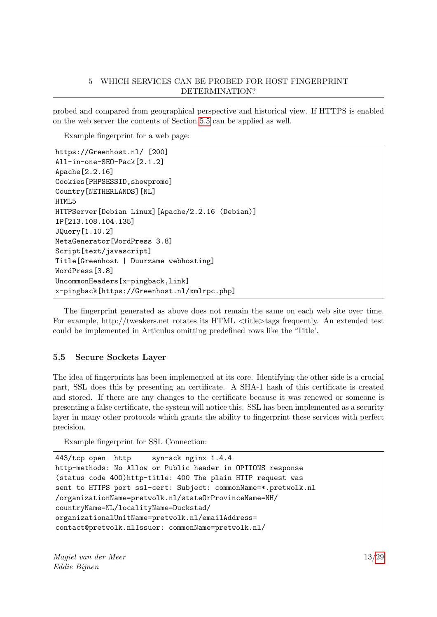probed and compared from geographical perspective and historical view. If HTTPS is enabled on the web server the contents of Section [5.5](#page-13-0) can be applied as well.

Example fingerprint for a web page:

```
https://Greenhost.nl/ [200]
All-in-one-SEO-Pack[2.1.2]
Apache[2.2.16]
Cookies[PHPSESSID,showpromo]
Country[NETHERLANDS][NL]
HTML5
HTTPServer[Debian Linux][Apache/2.2.16 (Debian)]
IP[213.108.104.135]
JQuery[1.10.2]
MetaGenerator[WordPress 3.8]
Script[text/javascript]
Title[Greenhost | Duurzame webhosting]
WordPress[3.8]
UncommonHeaders[x-pingback,link]
x-pingback[https://Greenhost.nl/xmlrpc.php]
```
The fingerprint generated as above does not remain the same on each web site over time. For example, http://tweakers.net rotates its HTML <title>tags frequently. An extended test could be implemented in Articulus omitting predefined rows like the 'Title'.

#### <span id="page-13-0"></span>5.5 Secure Sockets Layer

The idea of fingerprints has been implemented at its core. Identifying the other side is a crucial part, SSL does this by presenting an certificate. A SHA-1 hash of this certificate is created and stored. If there are any changes to the certificate because it was renewed or someone is presenting a false certificate, the system will notice this. SSL has been implemented as a security layer in many other protocols which grants the ability to fingerprint these services with perfect precision.

Example fingerprint for SSL Connection:

```
443/tcp open http syn-ack nginx 1.4.4
http-methods: No Allow or Public header in OPTIONS response
(status code 400)http-title: 400 The plain HTTP request was
sent to HTTPS port ssl-cert: Subject: commonName=*.pretwolk.nl
/organizationName=pretwolk.nl/stateOrProvinceName=NH/
countryName=NL/localityName=Duckstad/
organizationalUnitName=pretwolk.nl/emailAddress=
contact@pretwolk.nlIssuer: commonName=pretwolk.nl/
```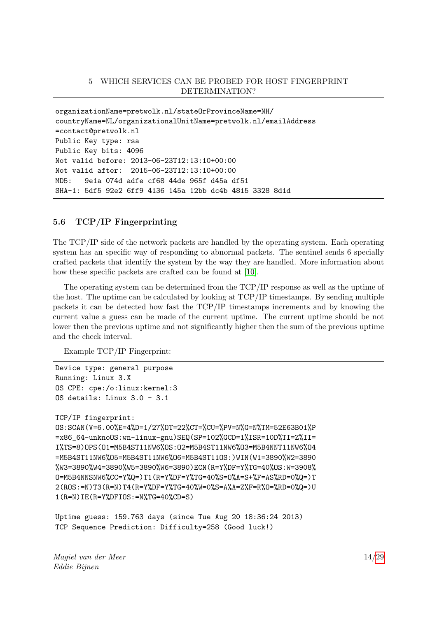```
organizationName=pretwolk.nl/stateOrProvinceName=NH/
countryName=NL/organizationalUnitName=pretwolk.nl/emailAddress
=contact@pretwolk.nl
Public Key type: rsa
Public Key bits: 4096
Not valid before: 2013-06-23T12:13:10+00:00
Not valid after: 2015-06-23T12:13:10+00:00
MD5: 9e1a 074d adfe cf68 44de 965f d45a df51
SHA-1: 5df5 92e2 6ff9 4136 145a 12bb dc4b 4815 3328 8d1d
```
#### <span id="page-14-0"></span>5.6 TCP/IP Fingerprinting

The TCP/IP side of the network packets are handled by the operating system. Each operating system has an specific way of responding to abnormal packets. The sentinel sends 6 specially crafted packets that identify the system by the way they are handled. More information about how these specific packets are crafted can be found at [\[10\]](#page-29-8).

The operating system can be determined from the TCP/IP response as well as the uptime of the host. The uptime can be calculated by looking at TCP/IP timestamps. By sending multiple packets it can be detected how fast the TCP/IP timestamps increments and by knowing the current value a guess can be made of the current uptime. The current uptime should be not lower then the previous uptime and not significantly higher then the sum of the previous uptime and the check interval.

Example TCP/IP Fingerprint:

```
Device type: general purpose
Running: Linux 3.X
OS CPE: cpe:/o:linux:kernel:3
OS details: Linux 3.0 - 3.1
TCP/IP fingerprint:
OS:SCAN(V=6.00%E=4%D=1/27%OT=22%CT=%CU=%PV=N%G=N%TM=52E63B01%P
=x86\_64-unkno0S:wn-linux-gnu)SEQ(SP=102%GCD=1%ISR=10D%TI=Z%II=
I%TS=8)OPS(O1=M5B4ST11NW6%OS:O2=M5B4ST11NW6%O3=M5B4NNT11NW6%O4
=M5B4ST11NW6%O5=M5B4ST11NW6%O6=M5B4ST11OS:)WIN(W1=3890%W2=3890
%W3=3890%W4=3890%W5=3890%W6=3890)ECN(R=Y%DF=Y%TG=40%OS:W=3908%
O=M5B4NNSNW6%CC=Y%Q=)T1(R=Y%DF=Y%TG=40%S=O%A=S+%F=AS%RD=0%Q=)T
2(ROS:=N)T3(R=N)T4(R=Y%DF=Y%TG=40%W=0%S=A%A=Z%F=R%O=%RD=0%Q=)U
1(R=N)IE(R=Y%DFIOS:=N%TG=40%CD=S)
Uptime guess: 159.763 days (since Tue Aug 20 18:36:24 2013)
```

```
TCP Sequence Prediction: Difficulty=258 (Good luck!)
```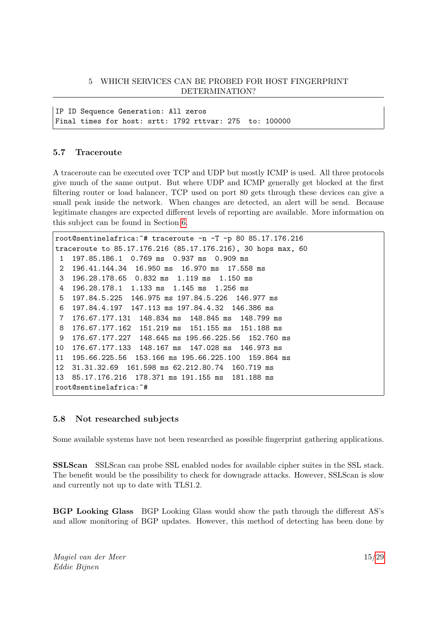IP ID Sequence Generation: All zeros Final times for host: srtt: 1792 rttvar: 275 to: 100000

#### <span id="page-15-0"></span>5.7 Traceroute

A traceroute can be executed over TCP and UDP but mostly ICMP is used. All three protocols give much of the same output. But where UDP and ICMP generally get blocked at the first filtering router or load balancer, TCP used on port 80 gets through these devices can give a small peak inside the network. When changes are detected, an alert will be send. Because legitimate changes are expected different levels of reporting are available. More information on this subject can be found in Section [6.](#page-17-0)

```
root@sentinelafrica:~# traceroute -n -T -p 80 85.17.176.216
traceroute to 85.17.176.216 (85.17.176.216), 30 hops max, 60
 1 197.85.186.1 0.769 ms 0.937 ms 0.909 ms
2 196.41.144.34 16.950 ms 16.970 ms 17.558 ms
 3 196.28.178.65 0.832 ms 1.119 ms 1.150 ms
 4 196.28.178.1 1.133 ms 1.145 ms 1.256 ms
 5 197.84.5.225 146.975 ms 197.84.5.226 146.977 ms
 6 197.84.4.197 147.113 ms 197.84.4.32 146.386 ms
7 176.67.177.131 148.834 ms 148.845 ms 148.799 ms
8 176.67.177.162 151.219 ms 151.155 ms 151.188 ms
9 176.67.177.227 148.645 ms 195.66.225.56 152.760 ms
10 176.67.177.133 148.167 ms 147.028 ms 146.973 ms
11 195.66.225.56 153.166 ms 195.66.225.100 159.864 ms
12 31.31.32.69 161.598 ms 62.212.80.74 160.719 ms
13 85.17.176.216 178.371 ms 191.155 ms 181.188 ms
root@sentinelafrica:~#
```
#### <span id="page-15-1"></span>5.8 Not researched subjects

Some available systems have not been researched as possible fingerprint gathering applications.

SSLScan SSLScan can probe SSL enabled nodes for available cipher suites in the SSL stack. The benefit would be the possibility to check for downgrade attacks. However, SSLScan is slow and currently not up to date with TLS1.2.

BGP Looking Glass BGP Looking Glass would show the path through the different AS's and allow monitoring of BGP updates. However, this method of detecting has been done by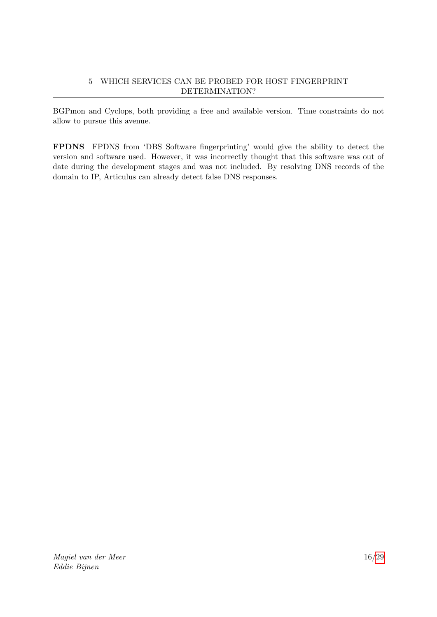BGPmon and Cyclops, both providing a free and available version. Time constraints do not allow to pursue this avenue.

FPDNS FPDNS from 'DBS Software fingerprinting' would give the ability to detect the version and software used. However, it was incorrectly thought that this software was out of date during the development stages and was not included. By resolving DNS records of the domain to IP, Articulus can already detect false DNS responses.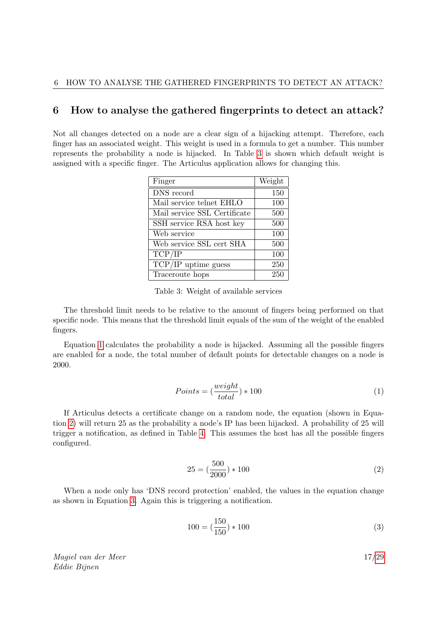#### <span id="page-17-0"></span>6 How to analyse the gathered fingerprints to detect an attack?

Not all changes detected on a node are a clear sign of a hijacking attempt. Therefore, each finger has an associated weight. This weight is used in a formula to get a number. This number represents the probability a node is hijacked. In Table [3](#page-17-1) is shown which default weight is assigned with a specific finger. The Articulus application allows for changing this.

| Finger                       | Weight |
|------------------------------|--------|
| DNS record                   | 150    |
| Mail service telnet EHLO     | 100    |
| Mail service SSL Certificate | 500    |
| SSH service RSA host key     | 500    |
| Web service                  | 100    |
| Web service SSL cert SHA     | 500    |
| TCP/IP                       | 100    |
| $TCP/IP$ uptime guess        | 250    |
| Traceroute hops              | 250    |

<span id="page-17-1"></span>Table 3: Weight of available services

The threshold limit needs to be relative to the amount of fingers being performed on that specific node. This means that the threshold limit equals of the sum of the weight of the enabled fingers.

<span id="page-17-2"></span>Equation [1](#page-17-2) calculates the probability a node is hijacked. Assuming all the possible fingers are enabled for a node, the total number of default points for detectable changes on a node is 2000.

$$
Points = \left(\frac{weight}{total}\right) * 100\tag{1}
$$

<span id="page-17-3"></span>If Articulus detects a certificate change on a random node, the equation (shown in Equation [2\)](#page-17-3) will return 25 as the probability a node's IP has been hijacked. A probability of 25 will trigger a notification, as defined in Table [4.](#page-18-0) This assumes the host has all the possible fingers configured.

$$
25 = \left(\frac{500}{2000}\right) * 100\tag{2}
$$

<span id="page-17-4"></span>When a node only has 'DNS record protection' enabled, the values in the equation change as shown in Equation [3.](#page-17-4) Again this is triggering a notification.

$$
100 = \left(\frac{150}{150}\right) * 100\tag{3}
$$

Magiel van der Meer Eddie Bijnen

17[/29](#page-29-0)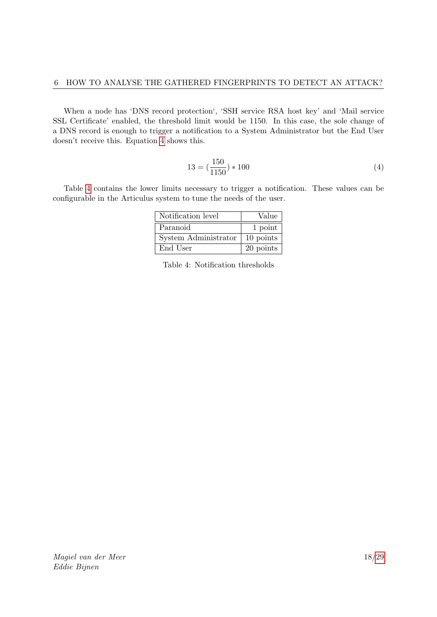<span id="page-18-1"></span>When a node has 'DNS record protection', 'SSH service RSA host key' and 'Mail service SSL Certificate' enabled, the threshold limit would be 1150. In this case, the sole change of a DNS record is enough to trigger a notification to a System Administrator but the End User doesn't receive this. Equation [4](#page-18-1) shows this.

$$
13 = \left(\frac{150}{1150}\right) * 100\tag{4}
$$

Table [4](#page-18-0) contains the lower limits necessary to trigger a notification. These values can be configurable in the Articulus system to tune the needs of the user.

| Notification level   | Value     |
|----------------------|-----------|
| Paranoid             | 1 point   |
| System Administrator | 10 points |
| End User             | 20 points |

<span id="page-18-0"></span>

|  | Table 4: Notification thresholds |  |
|--|----------------------------------|--|
|--|----------------------------------|--|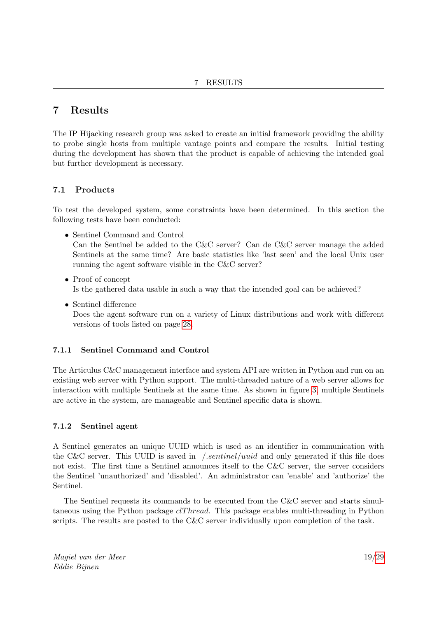## <span id="page-19-0"></span>7 Results

The IP Hijacking research group was asked to create an initial framework providing the ability to probe single hosts from multiple vantage points and compare the results. Initial testing during the development has shown that the product is capable of achieving the intended goal but further development is necessary.

#### <span id="page-19-1"></span>7.1 Products

To test the developed system, some constraints have been determined. In this section the following tests have been conducted:

• Sentinel Command and Control

Can the Sentinel be added to the C&C server? Can de C&C server manage the added Sentinels at the same time? Are basic statistics like 'last seen' and the local Unix user running the agent software visible in the C&C server?

- Proof of concept Is the gathered data usable in such a way that the intended goal can be achieved?
- Sentinel difference

Does the agent software run on a variety of Linux distributions and work with different versions of tools listed on page [28.](#page-28-0)

#### 7.1.1 Sentinel Command and Control

The Articulus C&C management interface and system API are written in Python and run on an existing web server with Python support. The multi-threaded nature of a web server allows for interaction with multiple Sentinels at the same time. As shown in figure [3,](#page-20-0) multiple Sentinels are active in the system, are manageable and Sentinel specific data is shown.

#### 7.1.2 Sentinel agent

A Sentinel generates an unique UUID which is used as an identifier in communication with the C&C server. This UUID is saved in  $\sqrt{1}$  sentinel/uuid and only generated if this file does not exist. The first time a Sentinel announces itself to the C&C server, the server considers the Sentinel 'unauthorized' and 'disabled'. An administrator can 'enable' and 'authorize' the Sentinel.

The Sentinel requests its commands to be executed from the C&C server and starts simultaneous using the Python package *clThread*. This package enables multi-threading in Python scripts. The results are posted to the C&C server individually upon completion of the task.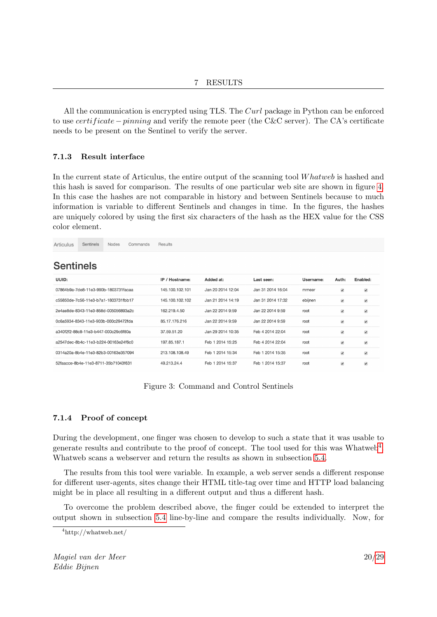All the communication is encrypted using TLS. The Curl package in Python can be enforced to use *certificate* − *pinning* and verify the remote peer (the C&C server). The CA's certificate needs to be present on the Sentinel to verify the server.

#### 7.1.3 Result interface

In the current state of Articulus, the entire output of the scanning tool Whatweb is hashed and this hash is saved for comparison. The results of one particular web site are shown in figure [4.](#page-21-2) In this case the hashes are not comparable in history and between Sentinels because to much information is variable to different Sentinels and changes in time. In the figures, the hashes are uniquely colored by using the first six characters of the hash as the HEX value for the CSS color element.

Articulus Sentinels Nodes Commands Results

#### **Sentinels**

| UUID:                                | IP / Hostname:  | Added at:         | Last seen:        | Username: | Auth:                           | Enabled:                 |
|--------------------------------------|-----------------|-------------------|-------------------|-----------|---------------------------------|--------------------------|
| 07864b9a-7de8-11e3-990b-1803731facaa | 145.100.102.101 | Jan 20 2014 12:04 | Jan 31 2014 16:04 | mmeer     | $\blacktriangledown$            | $\overline{\mathcal{L}}$ |
| c55850de-7c56-11e3-b7a1-1803731fbb17 | 145.100.102.102 | Jan 21 2014 14:19 | Jan 31 2014 17:32 | ebijnen   | $\blacktriangledown$            | $\overline{\mathcal{L}}$ |
| 2e4ae8de-8343-11e3-858d-005056893a2c | 162.219.4.50    | Jan 22 2014 9:59  | Jan 22 2014 9:59  | root      | $\overline{\smash{\checkmark}}$ | $\overline{\mathcal{L}}$ |
| 0c6a5934-8343-11e3-903b-000c29472fda | 85.17.176.216   | Jan 22 2014 9:59  | Jan 22 2014 9:59  | root      | $\overline{\mathcal{L}}$        | $\overline{\mathcal{L}}$ |
| a340f2f2-88c8-11e3-b447-000c29c6f80a | 37.59.51.20     | Jan 29 2014 10:35 | Feb 4 2014 22:04  | root      | $\overline{\mathcal{L}}$        | $\overline{\mathscr{L}}$ |
| a2547dec-8b4c-11e3-b224-00163e24f6c0 | 197.85.187.1    | Feb 1 2014 15:25  | Feb 4 2014 22:04  | root      | $\overline{\mathcal{L}}$        | $\overline{\mathcal{L}}$ |
| 0314a20a-8b4e-11e3-82b3-00163e357094 | 213.108.108.49  | Feb 1 2014 15:34  | Feb 1 2014 15:35  | root      | $\blacktriangledown$            | $\overline{\mathcal{L}}$ |
| 52faacce-8b4e-11e3-8711-35b71043f631 | 49.213.24.4     | Feb 1 2014 15:37  | Feb 1 2014 15:37  | root      | $\overline{\smash{\checkmark}}$ | $\overline{\mathcal{L}}$ |

<span id="page-20-0"></span>Figure 3: Command and Control Sentinels

#### 7.1.4 Proof of concept

During the development, one finger was chosen to develop to such a state that it was usable to generate results and contribute to the proof of concept. The tool used for this was Whatweb<sup>[4](#page-20-1)</sup>. Whatweb scans a webserver and return the results as shown in subsection [5.4.](#page-12-2)

The results from this tool were variable. In example, a web server sends a different response for different user-agents, sites change their HTML title-tag over time and HTTP load balancing might be in place all resulting in a different output and thus a different hash.

To overcome the problem described above, the finger could be extended to interpret the output shown in subsection [5.4](#page-12-2) line-by-line and compare the results individually. Now, for

<span id="page-20-1"></span><sup>4</sup>http://whatweb.net/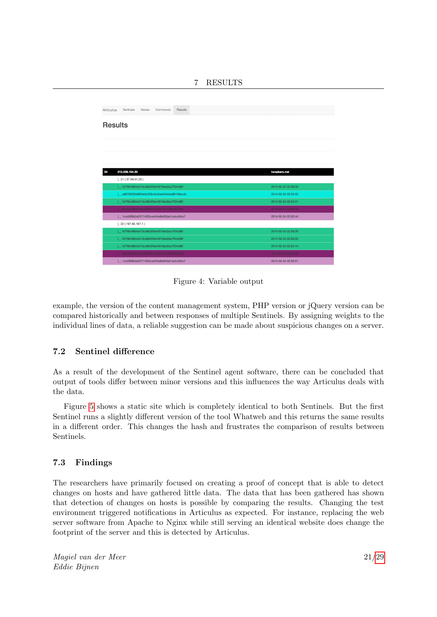| Articulus      | Sentinels<br>Nodes                         | Commands | Results |  |                     |  |
|----------------|--------------------------------------------|----------|---------|--|---------------------|--|
| <b>Results</b> |                                            |          |         |  |                     |  |
|                |                                            |          |         |  |                     |  |
| 34             | 213.239.154.20                             |          |         |  | tweakers.net        |  |
|                | $\lfloor 21 (37.59.51.20) \rfloor$         |          |         |  |                     |  |
|                | fd7f8d4864e313cd8b0f0e44916ed2ac7f24c88f   |          |         |  | 2014-02-04 22:06:59 |  |
|                | a8679202b885febb3f3b4bdbeb54bbe88108ecdb   |          |         |  | 2014-02-04 22:05:55 |  |
|                | fd7f8d4864e313cd8b0f0e44916ed2ac7f24c88f   |          |         |  | 2014-02-04 22:04:51 |  |
|                | 60ddc9f8b073a4388541fc034167c5f86183236f   |          |         |  | 2014-02-04 22:03:48 |  |
|                | 1 1cdd9f8b2e2571452bce54fe8e933ab1a4cd94c7 |          |         |  | 2014-02-04 22:02:44 |  |
|                | $\lfloor 22(197.85.187.1) \rfloor$         |          |         |  |                     |  |
|                | fd7f8d4864e313cd8b0f0e44916ed2ac7f24c88f   |          |         |  | 2014-02-04 22:06:26 |  |
|                | fd7f8d4864e313cd8b0f0e44916ed2ac7f24c88f   |          |         |  | 2014-02-04 22:05:20 |  |
|                | fd7f8d4864e313cd8b0f0e44916ed2ac7f24c88f   |          |         |  | 2014-02-04 22:04:14 |  |
|                | 60ddc9f8b073a4388541fc034167c5f86183236f   |          |         |  | 2014-02-04 22:03:08 |  |
|                | 1cdd9f8b2e2571452bce54fe8e933ab1a4cd94c7   |          |         |  | 2014-02-04 22:02:01 |  |

<span id="page-21-2"></span>Figure 4: Variable output

example, the version of the content management system, PHP version or jQuery version can be compared historically and between responses of multiple Sentinels. By assigning weights to the individual lines of data, a reliable suggestion can be made about suspicious changes on a server.

#### <span id="page-21-0"></span>7.2 Sentinel difference

As a result of the development of the Sentinel agent software, there can be concluded that output of tools differ between minor versions and this influences the way Articulus deals with the data.

Figure [5](#page-22-0) shows a static site which is completely identical to both Sentinels. But the first Sentinel runs a slightly different version of the tool Whatweb and this returns the same results in a different order. This changes the hash and frustrates the comparison of results between Sentinels.

#### <span id="page-21-1"></span>7.3 Findings

The researchers have primarily focused on creating a proof of concept that is able to detect changes on hosts and have gathered little data. The data that has been gathered has shown that detection of changes on hosts is possible by comparing the results. Changing the test environment triggered notifications in Articulus as expected. For instance, replacing the web server software from Apache to Nginx while still serving an identical website does change the footprint of the server and this is detected by Articulus.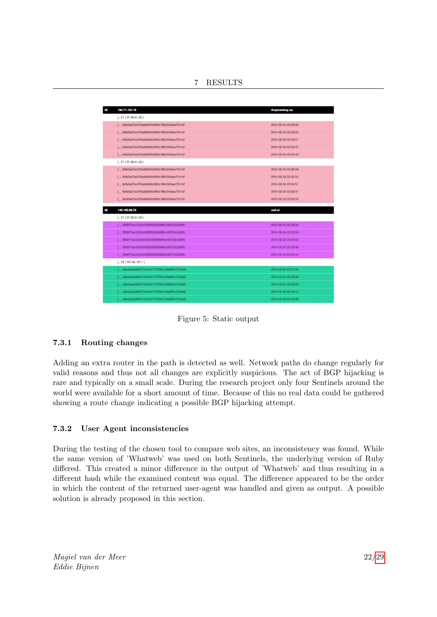7 RESULTS

| 35 | 194.71.107.15                                 | thepiratebay.se     |
|----|-----------------------------------------------|---------------------|
|    | $\lfloor 21 (37.59.51.20) \rfloor$            |                     |
|    | 6dfa5a27ed70da9b640cf6bb186c342eecf7b1bf      | 2014-02-04 22:06:59 |
|    | 6dfa5a27ed70da9b640cf6bb186c342eecf7b1bf      | 2014-02-04 22:05:55 |
|    | 6dfa5a27ed70da9b640cf6bb186c342eecf7b1bf      | 2014-02-04 22:04:51 |
|    | 6dfa5a27ed70da9b640cf6bb186c342eecf7b1bf      | 2014-02-04 22:03:47 |
|    | 6dfa5a27ed70da9b640cf6bb186c342eecf7b1bf      | 2014-02-04 22:02:43 |
|    | $\lfloor 21 (37.59.51.20) \rfloor$            |                     |
|    | 6dfa5a27ed70da9b640cf6bb186c342eecf7b1bf      | 2014-02-04 22:06:59 |
|    | 6dfa5a27ed70da9b640cf6bb186c342eecf7b1bf      | 2014-02-04 22:05:55 |
|    | 6dfa5a27ed70da9b640cf6bb186c342eecf7b1bf      | 2014-02-04 22:04:51 |
|    | 6dfa5a27ed70da9b640cf6bb186c342eecf7b1bf      | 2014-02-04 22:03:47 |
|    | 6dfa5a27ed70da9b640cf6bb186c342eecf7b1bf      | 2014-02-04 22:02:43 |
|    |                                               |                     |
|    |                                               |                     |
| 38 | 145.100.96.70                                 | os3.nl              |
|    | $\lfloor 21 (37.59.51.20) \rfloor$            |                     |
|    | _ f90957fecc32db0492935565686cd9372ddb69fb    | 2014-02-04 22:06:59 |
|    | 1 f90957fecc32db0492935565686cd9372ddb69fb    | 2014-02-04 22:05:55 |
|    | 1 f90957fecc32db0492935565686cd9372ddb69fb    | 2014-02-04 22:04:52 |
|    | [ __ f90957fecc32db0492935565686cd9372ddb69fb | 2014-02-04 22:03:48 |
|    | _ f90957fecc32db0492935565686cd9372ddb69fb    | 2014-02-04 22:02:44 |
|    | $\lfloor 22 (197.85.187.1) \rfloor$           |                     |
|    | c8a45aea08d0131a42417070fd1a6e861b27d3a0      | 2014-02-04 22:07:34 |
|    | L_c8a45aea08d0131a42417070fd1a6e861b27d3a0    | 2014-02-04 22:06:26 |
|    | C8a45aea08d0131a42417070fd1a6e861b27d3a0      | 2014-02-04 22:05:20 |
|    | c8a45aea08d0131a42417070fd1a6e861b27d3a0      | 2014-02-04 22:04:14 |

<span id="page-22-0"></span>Figure 5: Static output

#### 7.3.1 Routing changes

Adding an extra router in the path is detected as well. Network paths do change regularly for valid reasons and thus not all changes are explicitly suspicious. The act of BGP hijacking is rare and typically on a small scale. During the research project only four Sentinels around the world were available for a short amount of time. Because of this no real data could be gathered showing a route change indicating a possible BGP hijacking attempt.

#### 7.3.2 User Agent inconsistencies

During the testing of the chosen tool to compare web sites, an inconsistency was found. While the same version of 'Whatweb' was used on both Sentinels, the underlying version of Ruby differed. This created a minor difference in the output of 'Whatweb' and thus resulting in a different hash while the examined content was equal. The difference appeared to be the order in which the content of the returned user-agent was handled and given as output. A possible solution is already proposed in this section.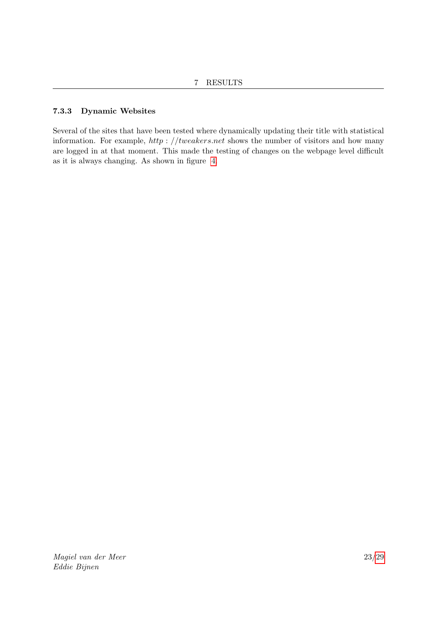#### 7.3.3 Dynamic Websites

Several of the sites that have been tested where dynamically updating their title with statistical information. For example,  $http://tweakers.net$  shows the number of visitors and how many are logged in at that moment. This made the testing of changes on the webpage level difficult as it is always changing. As shown in figure [4.](#page-21-2)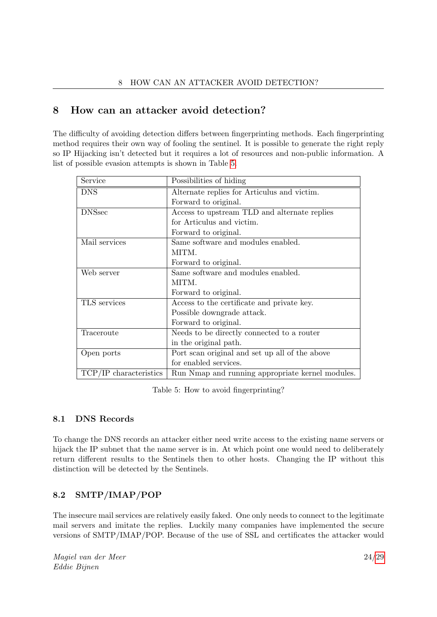## <span id="page-24-0"></span>8 How can an attacker avoid detection?

The difficulty of avoiding detection differs between fingerprinting methods. Each fingerprinting method requires their own way of fooling the sentinel. It is possible to generate the right reply so IP Hijacking isn't detected but it requires a lot of resources and non-public information. A list of possible evasion attempts is shown in Table [5.](#page-24-3)

| Service                | Possibilities of hiding                          |  |  |  |
|------------------------|--------------------------------------------------|--|--|--|
| <b>DNS</b>             | Alternate replies for Articulus and victim.      |  |  |  |
|                        | Forward to original.                             |  |  |  |
| <b>DNSsec</b>          | Access to upstream TLD and alternate replies     |  |  |  |
|                        | for Articulus and victim.                        |  |  |  |
|                        | Forward to original.                             |  |  |  |
| Mail services          | Same software and modules enabled.               |  |  |  |
|                        | MITM.                                            |  |  |  |
|                        | Forward to original.                             |  |  |  |
| Web server             | Same software and modules enabled.               |  |  |  |
|                        | MITM.                                            |  |  |  |
|                        | Forward to original.                             |  |  |  |
| TLS services           | Access to the certificate and private key.       |  |  |  |
|                        | Possible downgrade attack.                       |  |  |  |
|                        | Forward to original.                             |  |  |  |
| Traceroute             | Needs to be directly connected to a router       |  |  |  |
|                        | in the original path.                            |  |  |  |
| Open ports             | Port scan original and set up all of the above   |  |  |  |
|                        | for enabled services.                            |  |  |  |
| TCP/IP characteristics | Run Nmap and running appropriate kernel modules. |  |  |  |

<span id="page-24-3"></span>Table 5: How to avoid fingerprinting?

#### <span id="page-24-1"></span>8.1 DNS Records

To change the DNS records an attacker either need write access to the existing name servers or hijack the IP subnet that the name server is in. At which point one would need to deliberately return different results to the Sentinels then to other hosts. Changing the IP without this distinction will be detected by the Sentinels.

## <span id="page-24-2"></span>8.2 SMTP/IMAP/POP

The insecure mail services are relatively easily faked. One only needs to connect to the legitimate mail servers and imitate the replies. Luckily many companies have implemented the secure versions of SMTP/IMAP/POP. Because of the use of SSL and certificates the attacker would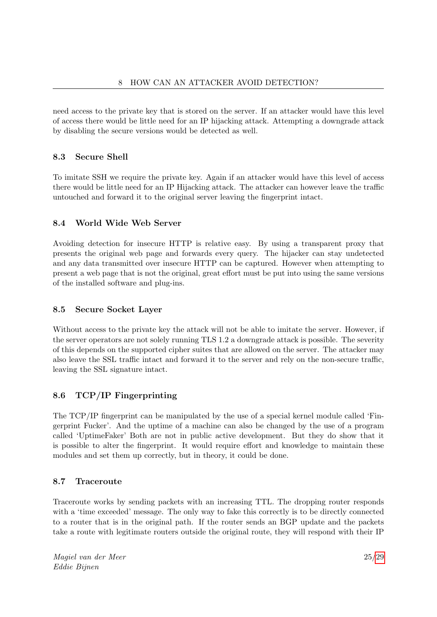need access to the private key that is stored on the server. If an attacker would have this level of access there would be little need for an IP hijacking attack. Attempting a downgrade attack by disabling the secure versions would be detected as well.

#### <span id="page-25-0"></span>8.3 Secure Shell

To imitate SSH we require the private key. Again if an attacker would have this level of access there would be little need for an IP Hijacking attack. The attacker can however leave the traffic untouched and forward it to the original server leaving the fingerprint intact.

#### <span id="page-25-1"></span>8.4 World Wide Web Server

Avoiding detection for insecure HTTP is relative easy. By using a transparent proxy that presents the original web page and forwards every query. The hijacker can stay undetected and any data transmitted over insecure HTTP can be captured. However when attempting to present a web page that is not the original, great effort must be put into using the same versions of the installed software and plug-ins.

#### <span id="page-25-2"></span>8.5 Secure Socket Layer

Without access to the private key the attack will not be able to imitate the server. However, if the server operators are not solely running TLS 1.2 a downgrade attack is possible. The severity of this depends on the supported cipher suites that are allowed on the server. The attacker may also leave the SSL traffic intact and forward it to the server and rely on the non-secure traffic, leaving the SSL signature intact.

#### <span id="page-25-3"></span>8.6 TCP/IP Fingerprinting

The TCP/IP fingerprint can be manipulated by the use of a special kernel module called 'Fingerprint Fucker'. And the uptime of a machine can also be changed by the use of a program called 'UptimeFaker' Both are not in public active development. But they do show that it is possible to alter the fingerprint. It would require effort and knowledge to maintain these modules and set them up correctly, but in theory, it could be done.

#### <span id="page-25-4"></span>8.7 Traceroute

Traceroute works by sending packets with an increasing TTL. The dropping router responds with a 'time exceeded' message. The only way to fake this correctly is to be directly connected to a router that is in the original path. If the router sends an BGP update and the packets take a route with legitimate routers outside the original route, they will respond with their IP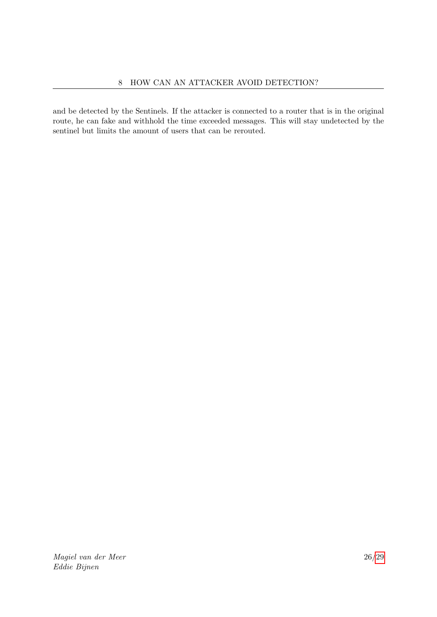and be detected by the Sentinels. If the attacker is connected to a router that is in the original route, he can fake and withhold the time exceeded messages. This will stay undetected by the sentinel but limits the amount of users that can be rerouted.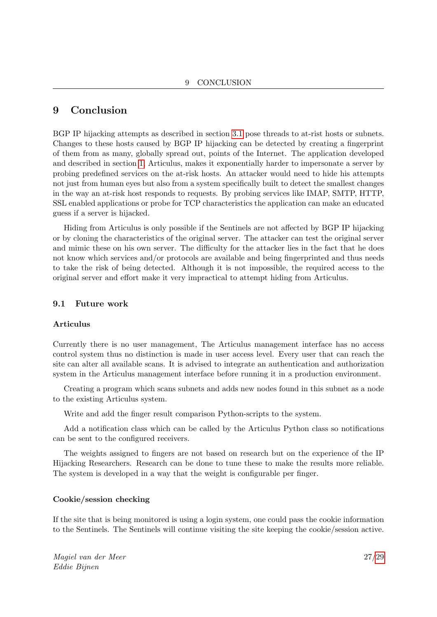## <span id="page-27-0"></span>9 Conclusion

BGP IP hijacking attempts as described in section [3.1](#page-7-1) pose threads to at-rist hosts or subnets. Changes to these hosts caused by BGP IP hijacking can be detected by creating a fingerprint of them from as many, globally spread out, points of the Internet. The application developed and described in section [1,](#page-4-1) Articulus, makes it exponentially harder to impersonate a server by probing predefined services on the at-risk hosts. An attacker would need to hide his attempts not just from human eyes but also from a system specifically built to detect the smallest changes in the way an at-risk host responds to requests. By probing services like IMAP, SMTP, HTTP, SSL enabled applications or probe for TCP characteristics the application can make an educated guess if a server is hijacked.

Hiding from Articulus is only possible if the Sentinels are not affected by BGP IP hijacking or by cloning the characteristics of the original server. The attacker can test the original server and mimic these on his own server. The difficulty for the attacker lies in the fact that he does not know which services and/or protocols are available and being fingerprinted and thus needs to take the risk of being detected. Although it is not impossible, the required access to the original server and effort make it very impractical to attempt hiding from Articulus.

#### <span id="page-27-1"></span>9.1 Future work

#### Articulus

Currently there is no user management, The Articulus management interface has no access control system thus no distinction is made in user access level. Every user that can reach the site can alter all available scans. It is advised to integrate an authentication and authorization system in the Articulus management interface before running it in a production environment.

Creating a program which scans subnets and adds new nodes found in this subnet as a node to the existing Articulus system.

Write and add the finger result comparison Python-scripts to the system.

Add a notification class which can be called by the Articulus Python class so notifications can be sent to the configured receivers.

The weights assigned to fingers are not based on research but on the experience of the IP Hijacking Researchers. Research can be done to tune these to make the results more reliable. The system is developed in a way that the weight is configurable per finger.

#### Cookie/session checking

If the site that is being monitored is using a login system, one could pass the cookie information to the Sentinels. The Sentinels will continue visiting the site keeping the cookie/session active.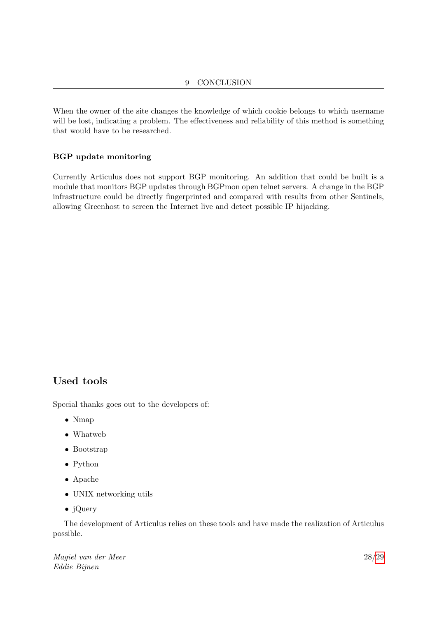When the owner of the site changes the knowledge of which cookie belongs to which username will be lost, indicating a problem. The effectiveness and reliability of this method is something that would have to be researched.

#### BGP update monitoring

Currently Articulus does not support BGP monitoring. An addition that could be built is a module that monitors BGP updates through BGPmon open telnet servers. A change in the BGP infrastructure could be directly fingerprinted and compared with results from other Sentinels, allowing Greenhost to screen the Internet live and detect possible IP hijacking.

## <span id="page-28-0"></span>Used tools

Special thanks goes out to the developers of:

- Nmap
- Whatweb
- Bootstrap
- Python
- Apache
- UNIX networking utils
- jQuery

The development of Articulus relies on these tools and have made the realization of Articulus possible.